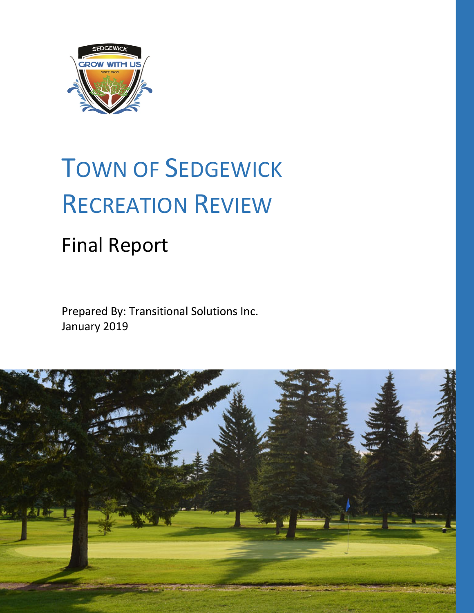

# TOWN OF SEDGEWICK RECREATION REVIEW

# Final Report

Prepared By: Transitional Solutions Inc. January 2019

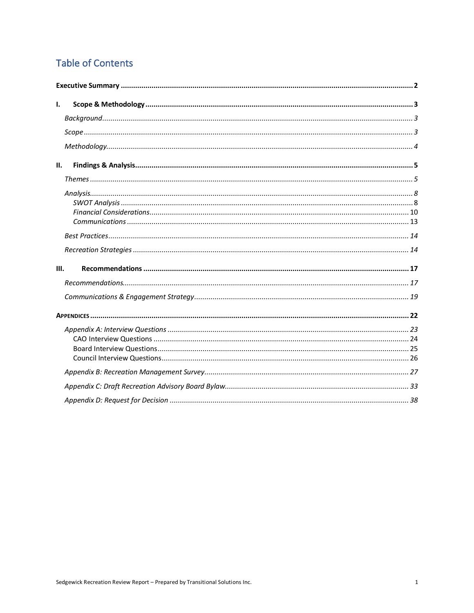# **Table of Contents**

| Ι.   |  |
|------|--|
|      |  |
|      |  |
|      |  |
| II.  |  |
|      |  |
|      |  |
|      |  |
|      |  |
| III. |  |
|      |  |
|      |  |
|      |  |
|      |  |
|      |  |
|      |  |
|      |  |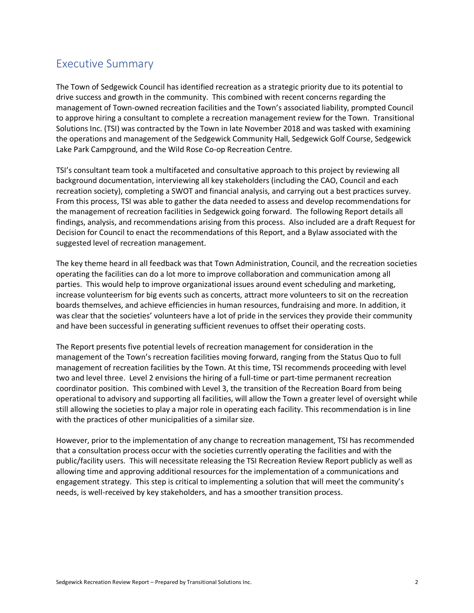# Executive Summary

The Town of Sedgewick Council has identified recreation as a strategic priority due to its potential to drive success and growth in the community. This combined with recent concerns regarding the management of Town-owned recreation facilities and the Town's associated liability, prompted Council to approve hiring a consultant to complete a recreation management review for the Town. Transitional Solutions Inc. (TSI) was contracted by the Town in late November 2018 and was tasked with examining the operations and management of the Sedgewick Community Hall, Sedgewick Golf Course, Sedgewick Lake Park Campground, and the Wild Rose Co-op Recreation Centre.

TSI's consultant team took a multifaceted and consultative approach to this project by reviewing all background documentation, interviewing all key stakeholders (including the CAO, Council and each recreation society), completing a SWOT and financial analysis, and carrying out a best practices survey. From this process, TSI was able to gather the data needed to assess and develop recommendations for the management of recreation facilities in Sedgewick going forward. The following Report details all findings, analysis, and recommendations arising from this process. Also included are a draft Request for Decision for Council to enact the recommendations of this Report, and a Bylaw associated with the suggested level of recreation management.

The key theme heard in all feedback was that Town Administration, Council, and the recreation societies operating the facilities can do a lot more to improve collaboration and communication among all parties. This would help to improve organizational issues around event scheduling and marketing, increase volunteerism for big events such as concerts, attract more volunteers to sit on the recreation boards themselves, and achieve efficiencies in human resources, fundraising and more. In addition, it was clear that the societies' volunteers have a lot of pride in the services they provide their community and have been successful in generating sufficient revenues to offset their operating costs.

The Report presents five potential levels of recreation management for consideration in the management of the Town's recreation facilities moving forward, ranging from the Status Quo to full management of recreation facilities by the Town. At this time, TSI recommends proceeding with level two and level three. Level 2 envisions the hiring of a full-time or part-time permanent recreation coordinator position. This combined with Level 3, the transition of the Recreation Board from being operational to advisory and supporting all facilities, will allow the Town a greater level of oversight while still allowing the societies to play a major role in operating each facility. This recommendation is in line with the practices of other municipalities of a similar size.

However, prior to the implementation of any change to recreation management, TSI has recommended that a consultation process occur with the societies currently operating the facilities and with the public/facility users. This will necessitate releasing the TSI Recreation Review Report publicly as well as allowing time and approving additional resources for the implementation of a communications and engagement strategy. This step is critical to implementing a solution that will meet the community's needs, is well-received by key stakeholders, and has a smoother transition process.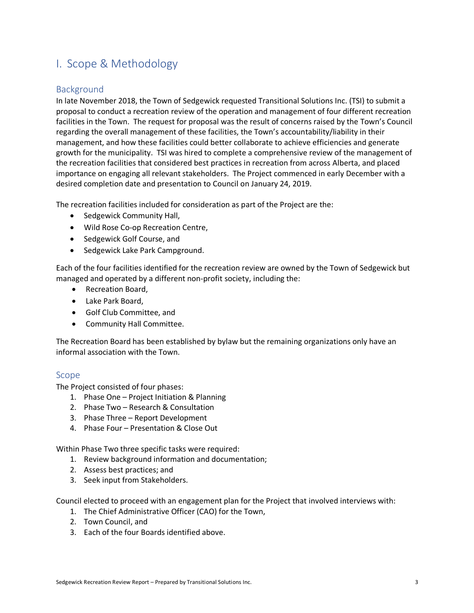# I. Scope & Methodology

#### **Background**

In late November 2018, the Town of Sedgewick requested Transitional Solutions Inc. (TSI) to submit a proposal to conduct a recreation review of the operation and management of four different recreation facilities in the Town. The request for proposal was the result of concerns raised by the Town's Council regarding the overall management of these facilities, the Town's accountability/liability in their management, and how these facilities could better collaborate to achieve efficiencies and generate growth for the municipality. TSI was hired to complete a comprehensive review of the management of the recreation facilities that considered best practices in recreation from across Alberta, and placed importance on engaging all relevant stakeholders. The Project commenced in early December with a desired completion date and presentation to Council on January 24, 2019.

The recreation facilities included for consideration as part of the Project are the:

- Sedgewick Community Hall,
- Wild Rose Co-op Recreation Centre,
- Sedgewick Golf Course, and
- Sedgewick Lake Park Campground.

Each of the four facilities identified for the recreation review are owned by the Town of Sedgewick but managed and operated by a different non-profit society, including the:

- Recreation Board,
- Lake Park Board,
- Golf Club Committee, and
- Community Hall Committee.

The Recreation Board has been established by bylaw but the remaining organizations only have an informal association with the Town.

#### Scope

The Project consisted of four phases:

- 1. Phase One Project Initiation & Planning
- 2. Phase Two Research & Consultation
- 3. Phase Three Report Development
- 4. Phase Four Presentation & Close Out

Within Phase Two three specific tasks were required:

- 1. Review background information and documentation;
- 2. Assess best practices; and
- 3. Seek input from Stakeholders.

Council elected to proceed with an engagement plan for the Project that involved interviews with:

- 1. The Chief Administrative Officer (CAO) for the Town,
- 2. Town Council, and
- 3. Each of the four Boards identified above.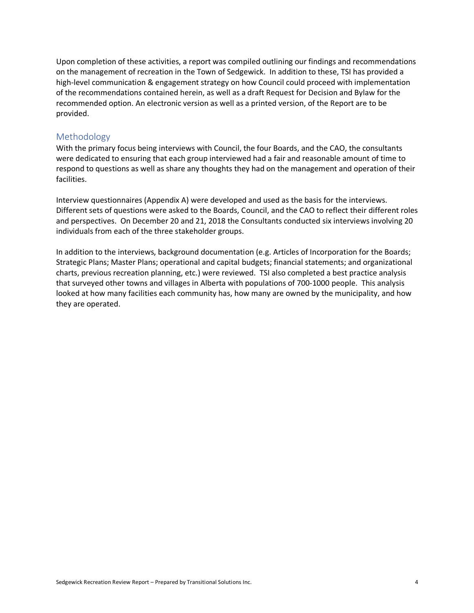Upon completion of these activities, a report was compiled outlining our findings and recommendations on the management of recreation in the Town of Sedgewick. In addition to these, TSI has provided a high-level communication & engagement strategy on how Council could proceed with implementation of the recommendations contained herein, as well as a draft Request for Decision and Bylaw for the recommended option. An electronic version as well as a printed version, of the Report are to be provided.

#### Methodology

With the primary focus being interviews with Council, the four Boards, and the CAO, the consultants were dedicated to ensuring that each group interviewed had a fair and reasonable amount of time to respond to questions as well as share any thoughts they had on the management and operation of their facilities.

Interview questionnaires (Appendix A) were developed and used as the basis for the interviews. Different sets of questions were asked to the Boards, Council, and the CAO to reflect their different roles and perspectives. On December 20 and 21, 2018 the Consultants conducted six interviews involving 20 individuals from each of the three stakeholder groups.

In addition to the interviews, background documentation (e.g. Articles of Incorporation for the Boards; Strategic Plans; Master Plans; operational and capital budgets; financial statements; and organizational charts, previous recreation planning, etc.) were reviewed. TSI also completed a best practice analysis that surveyed other towns and villages in Alberta with populations of 700-1000 people. This analysis looked at how many facilities each community has, how many are owned by the municipality, and how they are operated.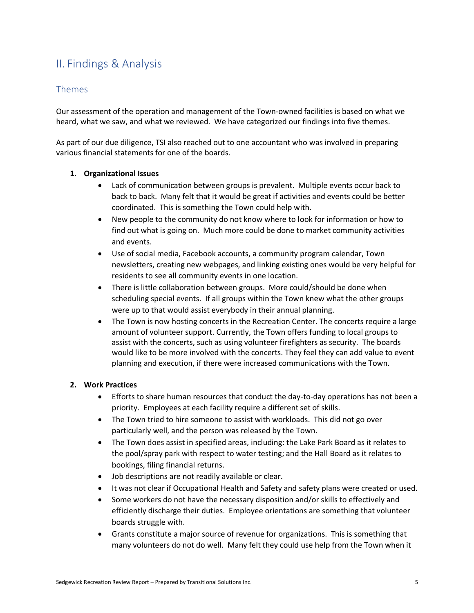# II. Findings & Analysis

#### Themes

Our assessment of the operation and management of the Town-owned facilities is based on what we heard, what we saw, and what we reviewed. We have categorized our findings into five themes.

As part of our due diligence, TSI also reached out to one accountant who was involved in preparing various financial statements for one of the boards.

#### **1. Organizational Issues**

- Lack of communication between groups is prevalent. Multiple events occur back to back to back. Many felt that it would be great if activities and events could be better coordinated. This is something the Town could help with.
- New people to the community do not know where to look for information or how to find out what is going on. Much more could be done to market community activities and events.
- Use of social media, Facebook accounts, a community program calendar, Town newsletters, creating new webpages, and linking existing ones would be very helpful for residents to see all community events in one location.
- There is little collaboration between groups. More could/should be done when scheduling special events. If all groups within the Town knew what the other groups were up to that would assist everybody in their annual planning.
- The Town is now hosting concerts in the Recreation Center. The concerts require a large amount of volunteer support. Currently, the Town offers funding to local groups to assist with the concerts, such as using volunteer firefighters as security. The boards would like to be more involved with the concerts. They feel they can add value to event planning and execution, if there were increased communications with the Town.

#### **2. Work Practices**

- Efforts to share human resources that conduct the day-to-day operations has not been a priority. Employees at each facility require a different set of skills.
- The Town tried to hire someone to assist with workloads. This did not go over particularly well, and the person was released by the Town.
- The Town does assist in specified areas, including: the Lake Park Board as it relates to the pool/spray park with respect to water testing; and the Hall Board as it relates to bookings, filing financial returns.
- Job descriptions are not readily available or clear.
- It was not clear if Occupational Health and Safety and safety plans were created or used.
- Some workers do not have the necessary disposition and/or skills to effectively and efficiently discharge their duties. Employee orientations are something that volunteer boards struggle with.
- Grants constitute a major source of revenue for organizations. This is something that many volunteers do not do well. Many felt they could use help from the Town when it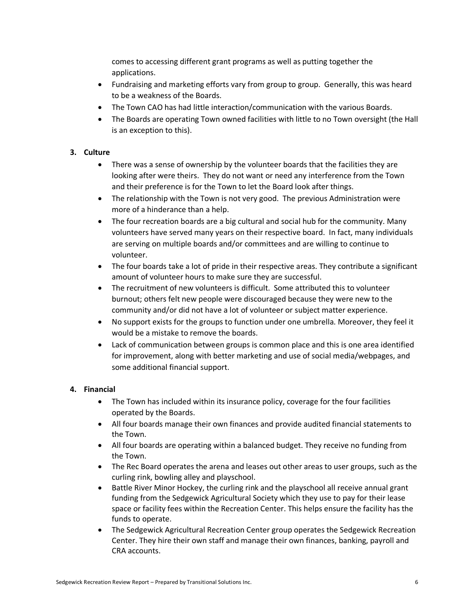comes to accessing different grant programs as well as putting together the applications.

- Fundraising and marketing efforts vary from group to group. Generally, this was heard to be a weakness of the Boards.
- The Town CAO has had little interaction/communication with the various Boards.
- The Boards are operating Town owned facilities with little to no Town oversight (the Hall is an exception to this).

#### **3. Culture**

- There was a sense of ownership by the volunteer boards that the facilities they are looking after were theirs. They do not want or need any interference from the Town and their preference is for the Town to let the Board look after things.
- The relationship with the Town is not very good. The previous Administration were more of a hinderance than a help.
- The four recreation boards are a big cultural and social hub for the community. Many volunteers have served many years on their respective board. In fact, many individuals are serving on multiple boards and/or committees and are willing to continue to volunteer.
- The four boards take a lot of pride in their respective areas. They contribute a significant amount of volunteer hours to make sure they are successful.
- The recruitment of new volunteers is difficult. Some attributed this to volunteer burnout; others felt new people were discouraged because they were new to the community and/or did not have a lot of volunteer or subject matter experience.
- No support exists for the groups to function under one umbrella. Moreover, they feel it would be a mistake to remove the boards.
- Lack of communication between groups is common place and this is one area identified for improvement, along with better marketing and use of social media/webpages, and some additional financial support.

#### **4. Financial**

- The Town has included within its insurance policy, coverage for the four facilities operated by the Boards.
- All four boards manage their own finances and provide audited financial statements to the Town.
- All four boards are operating within a balanced budget. They receive no funding from the Town.
- The Rec Board operates the arena and leases out other areas to user groups, such as the curling rink, bowling alley and playschool.
- Battle River Minor Hockey, the curling rink and the playschool all receive annual grant funding from the Sedgewick Agricultural Society which they use to pay for their lease space or facility fees within the Recreation Center. This helps ensure the facility has the funds to operate.
- The Sedgewick Agricultural Recreation Center group operates the Sedgewick Recreation Center. They hire their own staff and manage their own finances, banking, payroll and CRA accounts.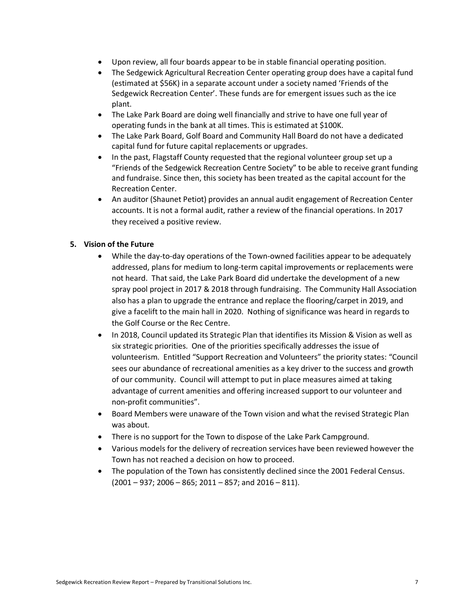- Upon review, all four boards appear to be in stable financial operating position.
- The Sedgewick Agricultural Recreation Center operating group does have a capital fund (estimated at \$56K) in a separate account under a society named 'Friends of the Sedgewick Recreation Center'. These funds are for emergent issues such as the ice plant.
- The Lake Park Board are doing well financially and strive to have one full year of operating funds in the bank at all times. This is estimated at \$100K.
- The Lake Park Board, Golf Board and Community Hall Board do not have a dedicated capital fund for future capital replacements or upgrades.
- In the past, Flagstaff County requested that the regional volunteer group set up a "Friends of the Sedgewick Recreation Centre Society" to be able to receive grant funding and fundraise. Since then, this society has been treated as the capital account for the Recreation Center.
- An auditor (Shaunet Petiot) provides an annual audit engagement of Recreation Center accounts. It is not a formal audit, rather a review of the financial operations. In 2017 they received a positive review.

#### **5. Vision of the Future**

- While the day-to-day operations of the Town-owned facilities appear to be adequately addressed, plans for medium to long-term capital improvements or replacements were not heard. That said, the Lake Park Board did undertake the development of a new spray pool project in 2017 & 2018 through fundraising. The Community Hall Association also has a plan to upgrade the entrance and replace the flooring/carpet in 2019, and give a facelift to the main hall in 2020. Nothing of significance was heard in regards to the Golf Course or the Rec Centre.
- In 2018, Council updated its Strategic Plan that identifies its Mission & Vision as well as six strategic priorities. One of the priorities specifically addresses the issue of volunteerism. Entitled "Support Recreation and Volunteers" the priority states: "Council sees our abundance of recreational amenities as a key driver to the success and growth of our community. Council will attempt to put in place measures aimed at taking advantage of current amenities and offering increased support to our volunteer and non-profit communities".
- Board Members were unaware of the Town vision and what the revised Strategic Plan was about.
- There is no support for the Town to dispose of the Lake Park Campground.
- Various models for the delivery of recreation services have been reviewed however the Town has not reached a decision on how to proceed.
- The population of the Town has consistently declined since the 2001 Federal Census.  $(2001 - 937; 2006 - 865; 2011 - 857;$  and  $2016 - 811)$ .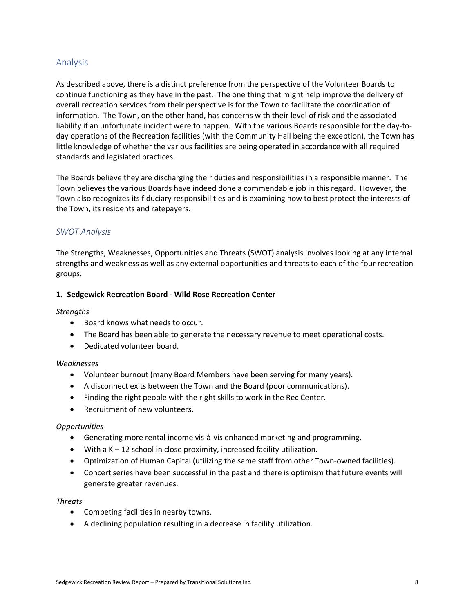#### Analysis

As described above, there is a distinct preference from the perspective of the Volunteer Boards to continue functioning as they have in the past. The one thing that might help improve the delivery of overall recreation services from their perspective is for the Town to facilitate the coordination of information. The Town, on the other hand, has concerns with their level of risk and the associated liability if an unfortunate incident were to happen. With the various Boards responsible for the day-today operations of the Recreation facilities (with the Community Hall being the exception), the Town has little knowledge of whether the various facilities are being operated in accordance with all required standards and legislated practices.

The Boards believe they are discharging their duties and responsibilities in a responsible manner. The Town believes the various Boards have indeed done a commendable job in this regard. However, the Town also recognizes its fiduciary responsibilities and is examining how to best protect the interests of the Town, its residents and ratepayers.

#### *SWOT Analysis*

The Strengths, Weaknesses, Opportunities and Threats (SWOT) analysis involves looking at any internal strengths and weakness as well as any external opportunities and threats to each of the four recreation groups.

#### **1. Sedgewick Recreation Board - Wild Rose Recreation Center**

#### *Strengths*

- Board knows what needs to occur.
- The Board has been able to generate the necessary revenue to meet operational costs.
- Dedicated volunteer board.

#### *Weaknesses*

- Volunteer burnout (many Board Members have been serving for many years).
- A disconnect exits between the Town and the Board (poor communications).
- Finding the right people with the right skills to work in the Rec Center.
- Recruitment of new volunteers.

#### *Opportunities*

- Generating more rental income vis-à-vis enhanced marketing and programming.
- With a  $K 12$  school in close proximity, increased facility utilization.
- Optimization of Human Capital (utilizing the same staff from other Town-owned facilities).
- Concert series have been successful in the past and there is optimism that future events will generate greater revenues.

#### *Threats*

- Competing facilities in nearby towns.
- A declining population resulting in a decrease in facility utilization.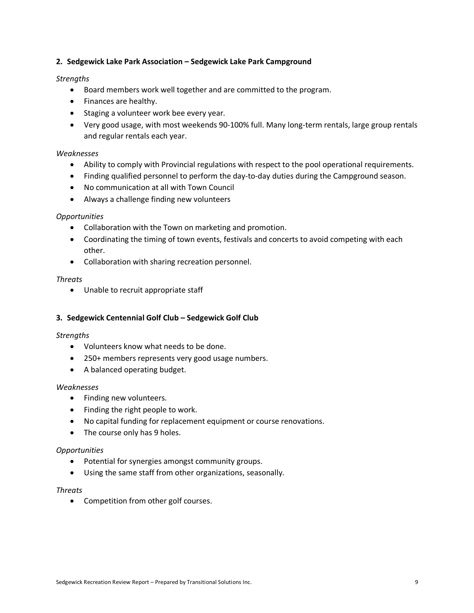#### **2. Sedgewick Lake Park Association – Sedgewick Lake Park Campground**

#### *Strengths*

- Board members work well together and are committed to the program.
- Finances are healthy.
- Staging a volunteer work bee every year.
- Very good usage, with most weekends 90-100% full. Many long-term rentals, large group rentals and regular rentals each year.

#### *Weaknesses*

- Ability to comply with Provincial regulations with respect to the pool operational requirements.
- Finding qualified personnel to perform the day-to-day duties during the Campground season.
- No communication at all with Town Council
- Always a challenge finding new volunteers

#### *Opportunities*

- Collaboration with the Town on marketing and promotion.
- Coordinating the timing of town events, festivals and concerts to avoid competing with each other.
- Collaboration with sharing recreation personnel.

#### *Threats*

• Unable to recruit appropriate staff

#### **3. Sedgewick Centennial Golf Club – Sedgewick Golf Club**

#### *Strengths*

- Volunteers know what needs to be done.
- 250+ members represents very good usage numbers.
- A balanced operating budget.

#### *Weaknesses*

- Finding new volunteers.
- Finding the right people to work.
- No capital funding for replacement equipment or course renovations.
- The course only has 9 holes.

#### *Opportunities*

- Potential for synergies amongst community groups.
- Using the same staff from other organizations, seasonally.

#### *Threats*

• Competition from other golf courses.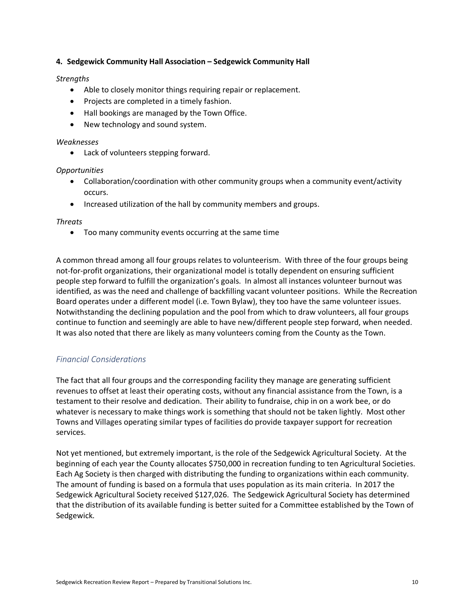#### **4. Sedgewick Community Hall Association – Sedgewick Community Hall**

#### *Strengths*

- Able to closely monitor things requiring repair or replacement.
- Projects are completed in a timely fashion.
- Hall bookings are managed by the Town Office.
- New technology and sound system.

#### *Weaknesses*

• Lack of volunteers stepping forward.

#### *Opportunities*

- Collaboration/coordination with other community groups when a community event/activity occurs.
- Increased utilization of the hall by community members and groups.

#### *Threats*

• Too many community events occurring at the same time

A common thread among all four groups relates to volunteerism. With three of the four groups being not-for-profit organizations, their organizational model is totally dependent on ensuring sufficient people step forward to fulfill the organization's goals. In almost all instances volunteer burnout was identified, as was the need and challenge of backfilling vacant volunteer positions. While the Recreation Board operates under a different model (i.e. Town Bylaw), they too have the same volunteer issues. Notwithstanding the declining population and the pool from which to draw volunteers, all four groups continue to function and seemingly are able to have new/different people step forward, when needed. It was also noted that there are likely as many volunteers coming from the County as the Town.

#### *Financial Considerations*

The fact that all four groups and the corresponding facility they manage are generating sufficient revenues to offset at least their operating costs, without any financial assistance from the Town, is a testament to their resolve and dedication. Their ability to fundraise, chip in on a work bee, or do whatever is necessary to make things work is something that should not be taken lightly. Most other Towns and Villages operating similar types of facilities do provide taxpayer support for recreation services.

Not yet mentioned, but extremely important, is the role of the Sedgewick Agricultural Society. At the beginning of each year the County allocates \$750,000 in recreation funding to ten Agricultural Societies. Each Ag Society is then charged with distributing the funding to organizations within each community. The amount of funding is based on a formula that uses population as its main criteria. In 2017 the Sedgewick Agricultural Society received \$127,026. The Sedgewick Agricultural Society has determined that the distribution of its available funding is better suited for a Committee established by the Town of Sedgewick.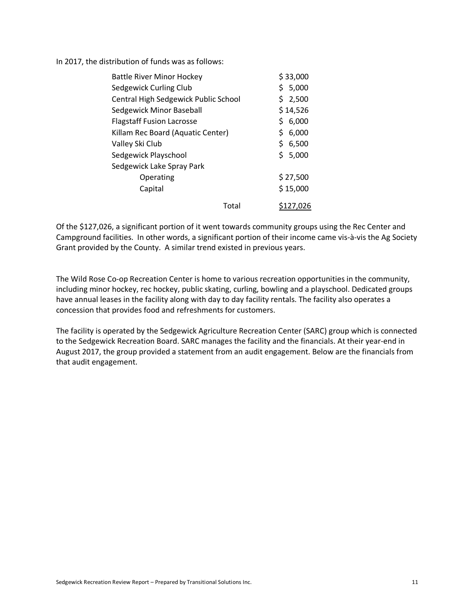In 2017, the distribution of funds was as follows:

| <b>Battle River Minor Hockey</b>     | \$33,000    |
|--------------------------------------|-------------|
| Sedgewick Curling Club               | 5,000<br>\$ |
| Central High Sedgewick Public School | \$2,500     |
| Sedgewick Minor Baseball             | \$14,526    |
| <b>Flagstaff Fusion Lacrosse</b>     | 6,000<br>Ś  |
| Killam Rec Board (Aquatic Center)    | \$<br>6,000 |
| Valley Ski Club                      | \$<br>6,500 |
| Sedgewick Playschool                 | \$<br>5,000 |
| Sedgewick Lake Spray Park            |             |
| Operating                            | \$27,500    |
| Capital                              | \$15,000    |
| Total                                | S127.026    |

Of the \$127,026, a significant portion of it went towards community groups using the Rec Center and Campground facilities. In other words, a significant portion of their income came vis-à-vis the Ag Society Grant provided by the County. A similar trend existed in previous years.

The Wild Rose Co-op Recreation Center is home to various recreation opportunities in the community, including minor hockey, rec hockey, public skating, curling, bowling and a playschool. Dedicated groups have annual leases in the facility along with day to day facility rentals. The facility also operates a concession that provides food and refreshments for customers.

The facility is operated by the Sedgewick Agriculture Recreation Center (SARC) group which is connected to the Sedgewick Recreation Board. SARC manages the facility and the financials. At their year-end in August 2017, the group provided a statement from an audit engagement. Below are the financials from that audit engagement.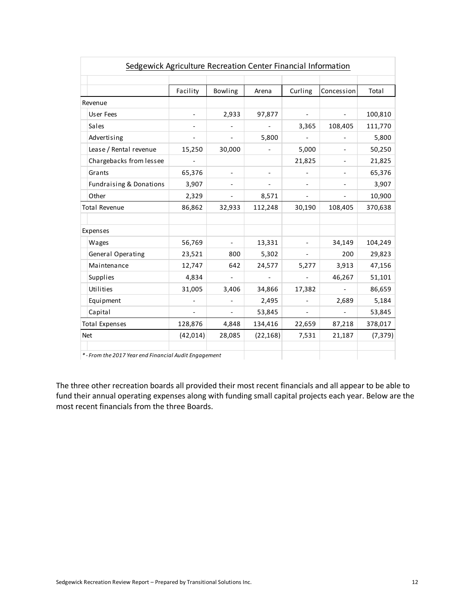| Sedgewick Agriculture Recreation Center Financial Information |                          |                          |                          |         |                          |          |  |
|---------------------------------------------------------------|--------------------------|--------------------------|--------------------------|---------|--------------------------|----------|--|
|                                                               |                          |                          |                          |         |                          |          |  |
|                                                               | Facility                 | Bowling                  | Arena                    | Curling | Concession               | Total    |  |
| Revenue                                                       |                          |                          |                          |         |                          |          |  |
| Us er Fees                                                    | $\overline{\phantom{a}}$ | 2,933                    | 97,877                   |         |                          | 100,810  |  |
| Sales                                                         |                          |                          |                          | 3,365   | 108,405                  | 111,770  |  |
| Advertising                                                   |                          |                          | 5,800                    |         |                          | 5,800    |  |
| Lease / Rental revenue                                        | 15,250                   | 30,000                   |                          | 5,000   |                          | 50,250   |  |
| Chargebacks from lessee                                       |                          |                          |                          | 21,825  |                          | 21,825   |  |
| Grants                                                        | 65,376                   |                          |                          |         |                          | 65,376   |  |
| <b>Fundraising &amp; Donations</b>                            | 3,907                    |                          |                          |         |                          | 3,907    |  |
| Other                                                         | 2,329                    |                          | 8,571                    |         |                          | 10,900   |  |
| <b>Total Revenue</b>                                          | 86,862                   | 32,933                   | 112,248                  | 30,190  | 108,405                  | 370,638  |  |
|                                                               |                          |                          |                          |         |                          |          |  |
| Expenses                                                      |                          |                          |                          |         |                          |          |  |
| Wages                                                         | 56,769                   | $\overline{\phantom{0}}$ | 13,331                   |         | 34,149                   | 104,249  |  |
| General Operating                                             | 23,521                   | 800                      | 5,302                    |         | 200                      | 29,823   |  |
| Maintenance                                                   | 12,747                   | 642                      | 24,577                   | 5,277   | 3,913                    | 47,156   |  |
| Supplies                                                      | 4,834                    |                          | $\overline{\phantom{a}}$ |         | 46,267                   | 51,101   |  |
| Utilities                                                     | 31,005                   | 3,406                    | 34,866                   | 17,382  | $\overline{\phantom{a}}$ | 86,659   |  |
| Equipment                                                     |                          |                          | 2,495                    |         | 2,689                    | 5,184    |  |
| Capital                                                       |                          |                          | 53,845                   |         |                          | 53,845   |  |
| <b>Total Expenses</b>                                         | 128,876                  | 4,848                    | 134,416                  | 22,659  | 87,218                   | 378,017  |  |
| <b>Net</b>                                                    | (42, 014)                | 28,085                   | (22, 168)                | 7,531   | 21,187                   | (7, 379) |  |
|                                                               |                          |                          |                          |         |                          |          |  |
| *- From the 2017 Year end Financial Audit Engagement          |                          |                          |                          |         |                          |          |  |

The three other recreation boards all provided their most recent financials and all appear to be able to fund their annual operating expenses along with funding small capital projects each year. Below are the most recent financials from the three Boards.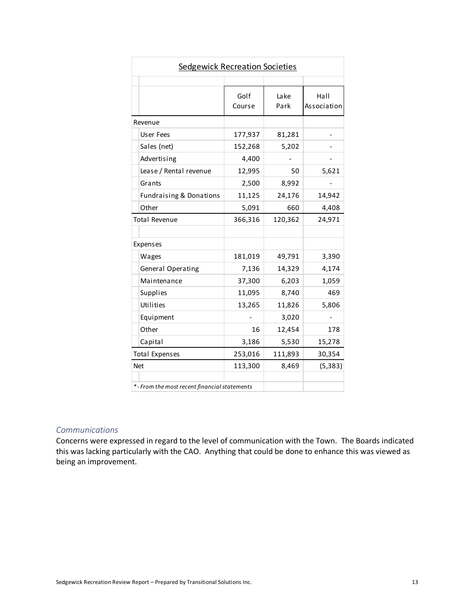| <b>Sedgewick Recreation Societies</b>       |                |              |                     |  |  |
|---------------------------------------------|----------------|--------------|---------------------|--|--|
|                                             |                |              |                     |  |  |
|                                             | Golf<br>Course | Lake<br>Park | Hall<br>Association |  |  |
| Revenue                                     |                |              |                     |  |  |
| User Fees                                   | 177,937        | 81,281       |                     |  |  |
| Sales (net)                                 | 152,268        | 5,202        |                     |  |  |
| Advertising                                 | 4,400          |              |                     |  |  |
| Lease / Rental revenue                      | 12,995         | 50           | 5,621               |  |  |
| Grants                                      | 2,500          | 8,992        |                     |  |  |
| <b>Fundraising &amp; Donations</b>          | 11,125         | 24,176       | 14,942              |  |  |
| Other                                       | 5,091          | 660          | 4,408               |  |  |
| <b>Total Revenue</b>                        | 366,316        | 120,362      | 24,971              |  |  |
|                                             |                |              |                     |  |  |
| Expenses                                    |                |              |                     |  |  |
| Wages                                       | 181,019        | 49,791       | 3,390               |  |  |
| General Operating                           | 7,136          | 14,329       | 4,174               |  |  |
| Maintenance                                 | 37,300         | 6,203        | 1,059               |  |  |
| Supplies                                    | 11,095         | 8,740        | 469                 |  |  |
| Utilities                                   | 13,265         | 11,826       | 5,806               |  |  |
| Equipment                                   |                | 3,020        |                     |  |  |
| Other                                       | 16             | 12,454       | 178                 |  |  |
| Capital                                     | 3,186          | 5,530        | 15,278              |  |  |
| <b>Total Expenses</b>                       | 253,016        | 111,893      | 30,354              |  |  |
| <b>Net</b>                                  | 113,300        | 8,469        | (5, 383)            |  |  |
|                                             |                |              |                     |  |  |
| *-From the most recent financial statements |                |              |                     |  |  |

#### *Communications*

Concerns were expressed in regard to the level of communication with the Town. The Boards indicated this was lacking particularly with the CAO. Anything that could be done to enhance this was viewed as being an improvement.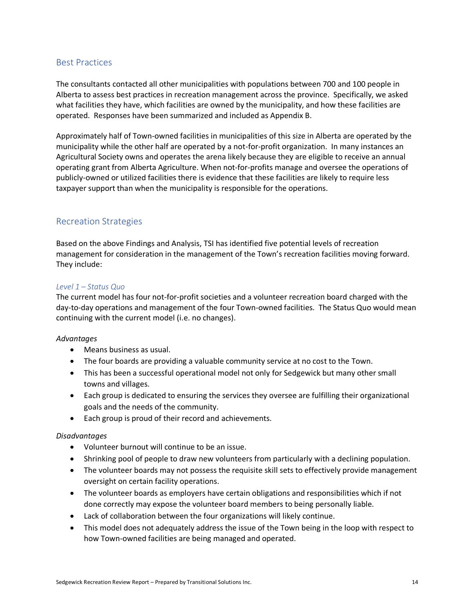#### Best Practices

The consultants contacted all other municipalities with populations between 700 and 100 people in Alberta to assess best practices in recreation management across the province. Specifically, we asked what facilities they have, which facilities are owned by the municipality, and how these facilities are operated. Responses have been summarized and included as Appendix B.

Approximately half of Town-owned facilities in municipalities of this size in Alberta are operated by the municipality while the other half are operated by a not-for-profit organization. In many instances an Agricultural Society owns and operates the arena likely because they are eligible to receive an annual operating grant from Alberta Agriculture. When not-for-profits manage and oversee the operations of publicly-owned or utilized facilities there is evidence that these facilities are likely to require less taxpayer support than when the municipality is responsible for the operations.

#### Recreation Strategies

Based on the above Findings and Analysis, TSI has identified five potential levels of recreation management for consideration in the management of the Town's recreation facilities moving forward. They include:

#### *Level 1 – Status Quo*

The current model has four not-for-profit societies and a volunteer recreation board charged with the day-to-day operations and management of the four Town-owned facilities. The Status Quo would mean continuing with the current model (i.e. no changes).

#### *Advantages*

- Means business as usual.
- The four boards are providing a valuable community service at no cost to the Town.
- This has been a successful operational model not only for Sedgewick but many other small towns and villages.
- Each group is dedicated to ensuring the services they oversee are fulfilling their organizational goals and the needs of the community.
- Each group is proud of their record and achievements.

#### *Disadvantages*

- Volunteer burnout will continue to be an issue.
- Shrinking pool of people to draw new volunteers from particularly with a declining population.
- The volunteer boards may not possess the requisite skill sets to effectively provide management oversight on certain facility operations.
- The volunteer boards as employers have certain obligations and responsibilities which if not done correctly may expose the volunteer board members to being personally liable.
- Lack of collaboration between the four organizations will likely continue.
- This model does not adequately address the issue of the Town being in the loop with respect to how Town-owned facilities are being managed and operated.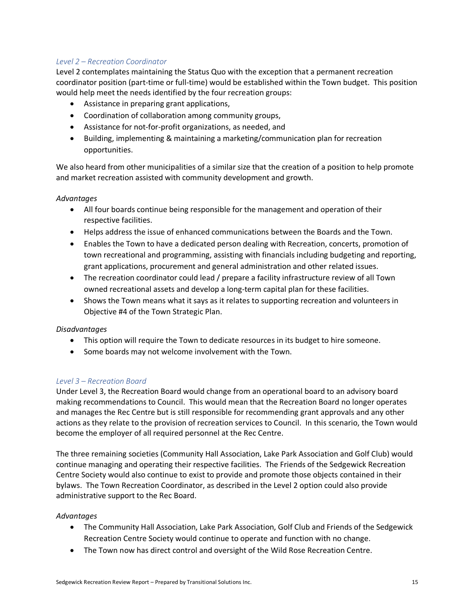#### *Level 2 – Recreation Coordinator*

Level 2 contemplates maintaining the Status Quo with the exception that a permanent recreation coordinator position (part-time or full-time) would be established within the Town budget. This position would help meet the needs identified by the four recreation groups:

- Assistance in preparing grant applications,
- Coordination of collaboration among community groups,
- Assistance for not-for-profit organizations, as needed, and
- Building, implementing & maintaining a marketing/communication plan for recreation opportunities.

We also heard from other municipalities of a similar size that the creation of a position to help promote and market recreation assisted with community development and growth.

#### *Advantages*

- All four boards continue being responsible for the management and operation of their respective facilities.
- Helps address the issue of enhanced communications between the Boards and the Town.
- Enables the Town to have a dedicated person dealing with Recreation, concerts, promotion of town recreational and programming, assisting with financials including budgeting and reporting, grant applications, procurement and general administration and other related issues.
- The recreation coordinator could lead / prepare a facility infrastructure review of all Town owned recreational assets and develop a long-term capital plan for these facilities.
- Shows the Town means what it says as it relates to supporting recreation and volunteers in Objective #4 of the Town Strategic Plan.

#### *Disadvantages*

- This option will require the Town to dedicate resources in its budget to hire someone.
- Some boards may not welcome involvement with the Town.

#### *Level 3 – Recreation Board*

Under Level 3, the Recreation Board would change from an operational board to an advisory board making recommendations to Council. This would mean that the Recreation Board no longer operates and manages the Rec Centre but is still responsible for recommending grant approvals and any other actions as they relate to the provision of recreation services to Council. In this scenario, the Town would become the employer of all required personnel at the Rec Centre.

The three remaining societies (Community Hall Association, Lake Park Association and Golf Club) would continue managing and operating their respective facilities. The Friends of the Sedgewick Recreation Centre Society would also continue to exist to provide and promote those objects contained in their bylaws. The Town Recreation Coordinator, as described in the Level 2 option could also provide administrative support to the Rec Board.

#### *Advantages*

- The Community Hall Association, Lake Park Association, Golf Club and Friends of the Sedgewick Recreation Centre Society would continue to operate and function with no change.
- The Town now has direct control and oversight of the Wild Rose Recreation Centre.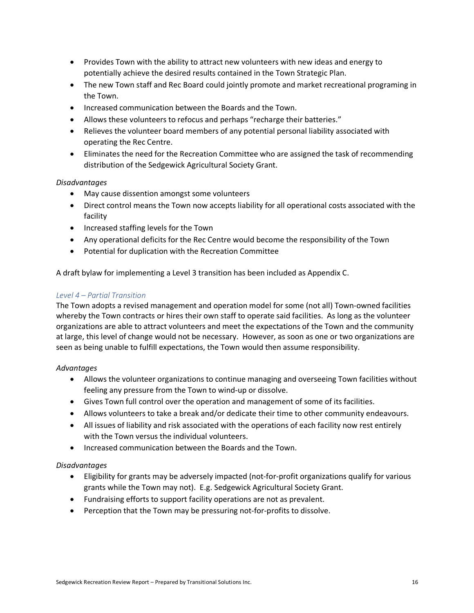- Provides Town with the ability to attract new volunteers with new ideas and energy to potentially achieve the desired results contained in the Town Strategic Plan.
- The new Town staff and Rec Board could jointly promote and market recreational programing in the Town.
- Increased communication between the Boards and the Town.
- Allows these volunteers to refocus and perhaps "recharge their batteries."
- Relieves the volunteer board members of any potential personal liability associated with operating the Rec Centre.
- Eliminates the need for the Recreation Committee who are assigned the task of recommending distribution of the Sedgewick Agricultural Society Grant.

#### *Disadvantages*

- May cause dissention amongst some volunteers
- Direct control means the Town now accepts liability for all operational costs associated with the facility
- Increased staffing levels for the Town
- Any operational deficits for the Rec Centre would become the responsibility of the Town
- Potential for duplication with the Recreation Committee

A draft bylaw for implementing a Level 3 transition has been included as Appendix C.

#### *Level 4 – Partial Transition*

The Town adopts a revised management and operation model for some (not all) Town-owned facilities whereby the Town contracts or hires their own staff to operate said facilities. As long as the volunteer organizations are able to attract volunteers and meet the expectations of the Town and the community at large, this level of change would not be necessary. However, as soon as one or two organizations are seen as being unable to fulfill expectations, the Town would then assume responsibility.

#### *Advantages*

- Allows the volunteer organizations to continue managing and overseeing Town facilities without feeling any pressure from the Town to wind-up or dissolve.
- Gives Town full control over the operation and management of some of its facilities.
- Allows volunteers to take a break and/or dedicate their time to other community endeavours.
- All issues of liability and risk associated with the operations of each facility now rest entirely with the Town versus the individual volunteers.
- Increased communication between the Boards and the Town.

#### *Disadvantages*

- Eligibility for grants may be adversely impacted (not-for-profit organizations qualify for various grants while the Town may not). E.g. Sedgewick Agricultural Society Grant.
- Fundraising efforts to support facility operations are not as prevalent.
- Perception that the Town may be pressuring not-for-profits to dissolve.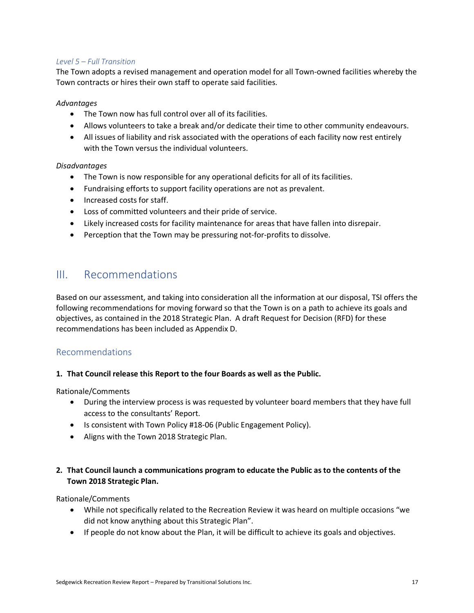#### *Level 5 – Full Transition*

The Town adopts a revised management and operation model for all Town-owned facilities whereby the Town contracts or hires their own staff to operate said facilities.

#### *Advantages*

- The Town now has full control over all of its facilities.
- Allows volunteers to take a break and/or dedicate their time to other community endeavours.
- All issues of liability and risk associated with the operations of each facility now rest entirely with the Town versus the individual volunteers.

#### *Disadvantages*

- The Town is now responsible for any operational deficits for all of its facilities.
- Fundraising efforts to support facility operations are not as prevalent.
- Increased costs for staff.
- Loss of committed volunteers and their pride of service.
- Likely increased costs for facility maintenance for areas that have fallen into disrepair.
- Perception that the Town may be pressuring not-for-profits to dissolve.

### III. Recommendations

Based on our assessment, and taking into consideration all the information at our disposal, TSI offers the following recommendations for moving forward so that the Town is on a path to achieve its goals and objectives, as contained in the 2018 Strategic Plan. A draft Request for Decision (RFD) for these recommendations has been included as Appendix D.

#### Recommendations

#### **1. That Council release this Report to the four Boards as well as the Public.**

Rationale/Comments

- During the interview process is was requested by volunteer board members that they have full access to the consultants' Report.
- Is consistent with Town Policy #18-06 (Public Engagement Policy).
- Aligns with the Town 2018 Strategic Plan.

#### **2. That Council launch a communications program to educate the Public as to the contents of the Town 2018 Strategic Plan.**

#### Rationale/Comments

- While not specifically related to the Recreation Review it was heard on multiple occasions "we did not know anything about this Strategic Plan".
- If people do not know about the Plan, it will be difficult to achieve its goals and objectives.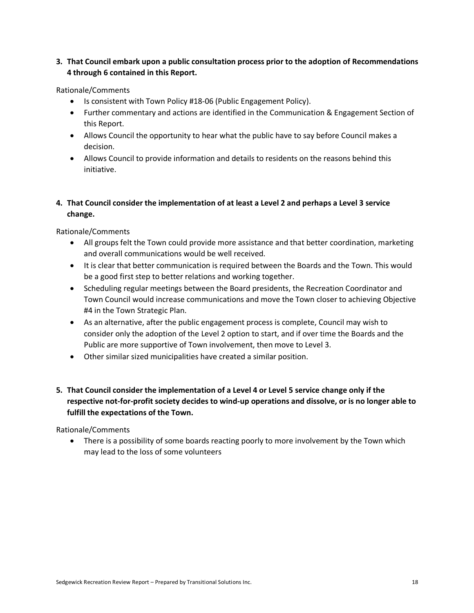#### **3. That Council embark upon a public consultation process prior to the adoption of Recommendations 4 through 6 contained in this Report.**

#### Rationale/Comments

- Is consistent with Town Policy #18-06 (Public Engagement Policy).
- Further commentary and actions are identified in the Communication & Engagement Section of this Report.
- Allows Council the opportunity to hear what the public have to say before Council makes a decision.
- Allows Council to provide information and details to residents on the reasons behind this initiative.

#### **4. That Council consider the implementation of at least a Level 2 and perhaps a Level 3 service change.**

Rationale/Comments

- All groups felt the Town could provide more assistance and that better coordination, marketing and overall communications would be well received.
- It is clear that better communication is required between the Boards and the Town. This would be a good first step to better relations and working together.
- Scheduling regular meetings between the Board presidents, the Recreation Coordinator and Town Council would increase communications and move the Town closer to achieving Objective #4 in the Town Strategic Plan.
- As an alternative, after the public engagement process is complete, Council may wish to consider only the adoption of the Level 2 option to start, and if over time the Boards and the Public are more supportive of Town involvement, then move to Level 3.
- Other similar sized municipalities have created a similar position.
- **5. That Council consider the implementation of a Level 4 or Level 5 service change only if the respective not-for-profit society decides to wind-up operations and dissolve, or is no longer able to fulfill the expectations of the Town.**

Rationale/Comments

• There is a possibility of some boards reacting poorly to more involvement by the Town which may lead to the loss of some volunteers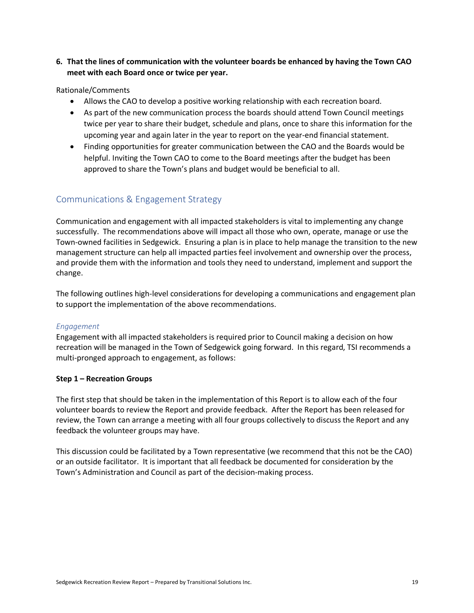#### **6. That the lines of communication with the volunteer boards be enhanced by having the Town CAO meet with each Board once or twice per year.**

#### Rationale/Comments

- Allows the CAO to develop a positive working relationship with each recreation board.
- As part of the new communication process the boards should attend Town Council meetings twice per year to share their budget, schedule and plans, once to share this information for the upcoming year and again later in the year to report on the year-end financial statement.
- Finding opportunities for greater communication between the CAO and the Boards would be helpful. Inviting the Town CAO to come to the Board meetings after the budget has been approved to share the Town's plans and budget would be beneficial to all.

#### Communications & Engagement Strategy

Communication and engagement with all impacted stakeholders is vital to implementing any change successfully. The recommendations above will impact all those who own, operate, manage or use the Town-owned facilities in Sedgewick. Ensuring a plan is in place to help manage the transition to the new management structure can help all impacted parties feel involvement and ownership over the process, and provide them with the information and tools they need to understand, implement and support the change.

The following outlines high-level considerations for developing a communications and engagement plan to support the implementation of the above recommendations.

#### *Engagement*

Engagement with all impacted stakeholders is required prior to Council making a decision on how recreation will be managed in the Town of Sedgewick going forward. In this regard, TSI recommends a multi-pronged approach to engagement, as follows:

#### **Step 1 – Recreation Groups**

The first step that should be taken in the implementation of this Report is to allow each of the four volunteer boards to review the Report and provide feedback. After the Report has been released for review, the Town can arrange a meeting with all four groups collectively to discuss the Report and any feedback the volunteer groups may have.

This discussion could be facilitated by a Town representative (we recommend that this not be the CAO) or an outside facilitator. It is important that all feedback be documented for consideration by the Town's Administration and Council as part of the decision-making process.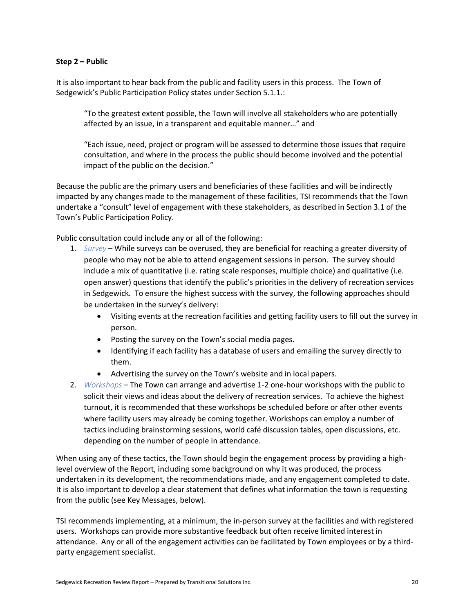#### **Step 2 – Public**

It is also important to hear back from the public and facility users in this process. The Town of Sedgewick's Public Participation Policy states under Section 5.1.1.:

"To the greatest extent possible, the Town will involve all stakeholders who are potentially affected by an issue, in a transparent and equitable manner…" and

"Each issue, need, project or program will be assessed to determine those issues that require consultation, and where in the process the public should become involved and the potential impact of the public on the decision."

Because the public are the primary users and beneficiaries of these facilities and will be indirectly impacted by any changes made to the management of these facilities, TSI recommends that the Town undertake a "consult" level of engagement with these stakeholders, as described in Section 3.1 of the Town's Public Participation Policy.

Public consultation could include any or all of the following:

- 1. *Survey*  While surveys can be overused, they are beneficial for reaching a greater diversity of people who may not be able to attend engagement sessions in person. The survey should include a mix of quantitative (i.e. rating scale responses, multiple choice) and qualitative (i.e. open answer) questions that identify the public's priorities in the delivery of recreation services in Sedgewick. To ensure the highest success with the survey, the following approaches should be undertaken in the survey's delivery:
	- Visiting events at the recreation facilities and getting facility users to fill out the survey in person.
	- Posting the survey on the Town's social media pages.
	- Identifying if each facility has a database of users and emailing the survey directly to them.
	- Advertising the survey on the Town's website and in local papers.
- 2. *Workshops* The Town can arrange and advertise 1-2 one-hour workshops with the public to solicit their views and ideas about the delivery of recreation services. To achieve the highest turnout, it is recommended that these workshops be scheduled before or after other events where facility users may already be coming together. Workshops can employ a number of tactics including brainstorming sessions, world café discussion tables, open discussions, etc. depending on the number of people in attendance.

When using any of these tactics, the Town should begin the engagement process by providing a highlevel overview of the Report, including some background on why it was produced, the process undertaken in its development, the recommendations made, and any engagement completed to date. It is also important to develop a clear statement that defines what information the town is requesting from the public (see Key Messages, below).

TSI recommends implementing, at a minimum, the in-person survey at the facilities and with registered users. Workshops can provide more substantive feedback but often receive limited interest in attendance. Any or all of the engagement activities can be facilitated by Town employees or by a thirdparty engagement specialist.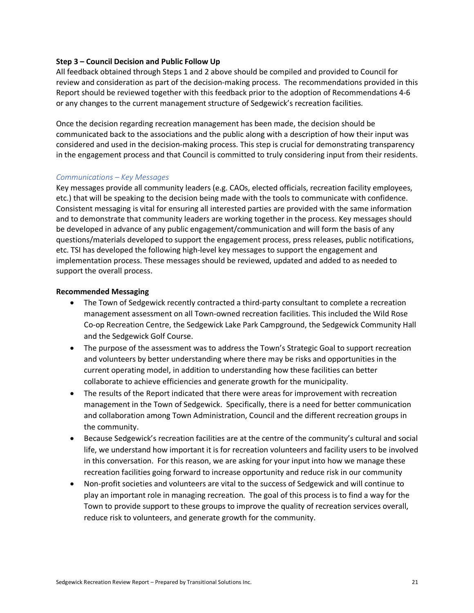#### **Step 3 – Council Decision and Public Follow Up**

All feedback obtained through Steps 1 and 2 above should be compiled and provided to Council for review and consideration as part of the decision-making process. The recommendations provided in this Report should be reviewed together with this feedback prior to the adoption of Recommendations 4-6 or any changes to the current management structure of Sedgewick's recreation facilities.

Once the decision regarding recreation management has been made, the decision should be communicated back to the associations and the public along with a description of how their input was considered and used in the decision-making process. This step is crucial for demonstrating transparency in the engagement process and that Council is committed to truly considering input from their residents.

#### *Communications – Key Messages*

Key messages provide all community leaders (e.g. CAOs, elected officials, recreation facility employees, etc.) that will be speaking to the decision being made with the tools to communicate with confidence. Consistent messaging is vital for ensuring all interested parties are provided with the same information and to demonstrate that community leaders are working together in the process. Key messages should be developed in advance of any public engagement/communication and will form the basis of any questions/materials developed to support the engagement process, press releases, public notifications, etc. TSI has developed the following high-level key messages to support the engagement and implementation process. These messages should be reviewed, updated and added to as needed to support the overall process.

#### **Recommended Messaging**

- The Town of Sedgewick recently contracted a third-party consultant to complete a recreation management assessment on all Town-owned recreation facilities. This included the Wild Rose Co-op Recreation Centre, the Sedgewick Lake Park Campground, the Sedgewick Community Hall and the Sedgewick Golf Course.
- The purpose of the assessment was to address the Town's Strategic Goal to support recreation and volunteers by better understanding where there may be risks and opportunities in the current operating model, in addition to understanding how these facilities can better collaborate to achieve efficiencies and generate growth for the municipality.
- The results of the Report indicated that there were areas for improvement with recreation management in the Town of Sedgewick. Specifically, there is a need for better communication and collaboration among Town Administration, Council and the different recreation groups in the community.
- Because Sedgewick's recreation facilities are at the centre of the community's cultural and social life, we understand how important it is for recreation volunteers and facility users to be involved in this conversation. For this reason, we are asking for your input into how we manage these recreation facilities going forward to increase opportunity and reduce risk in our community
- Non-profit societies and volunteers are vital to the success of Sedgewick and will continue to play an important role in managing recreation. The goal of this process is to find a way for the Town to provide support to these groups to improve the quality of recreation services overall, reduce risk to volunteers, and generate growth for the community.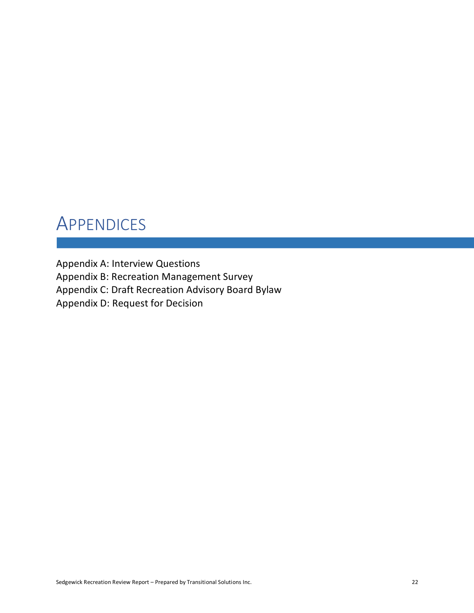# **APPENDICES**

Appendix A: Interview Questions Appendix B: Recreation Management Survey Appendix C: Draft Recreation Advisory Board Bylaw Appendix D: Request for Decision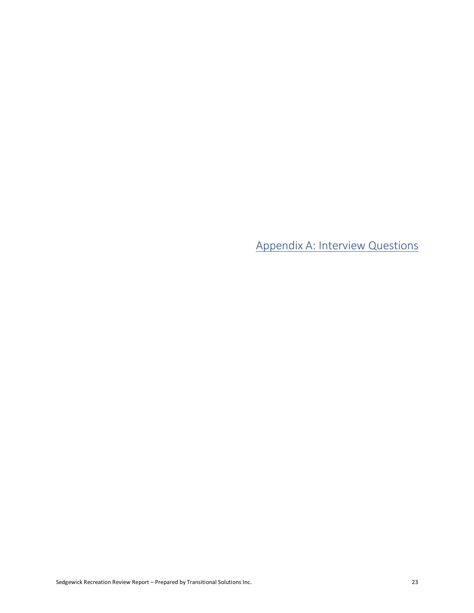Appendix A: Interview Questions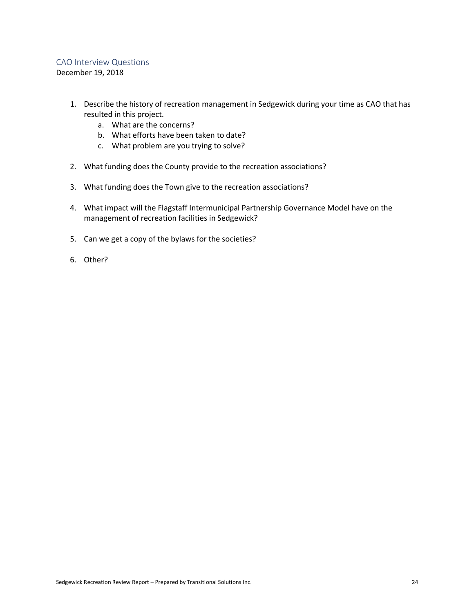#### CAO Interview Questions

December 19, 2018

- 1. Describe the history of recreation management in Sedgewick during your time as CAO that has resulted in this project.
	- a. What are the concerns?
	- b. What efforts have been taken to date?
	- c. What problem are you trying to solve?
- 2. What funding does the County provide to the recreation associations?
- 3. What funding does the Town give to the recreation associations?
- 4. What impact will the Flagstaff Intermunicipal Partnership Governance Model have on the management of recreation facilities in Sedgewick?
- 5. Can we get a copy of the bylaws for the societies?
- 6. Other?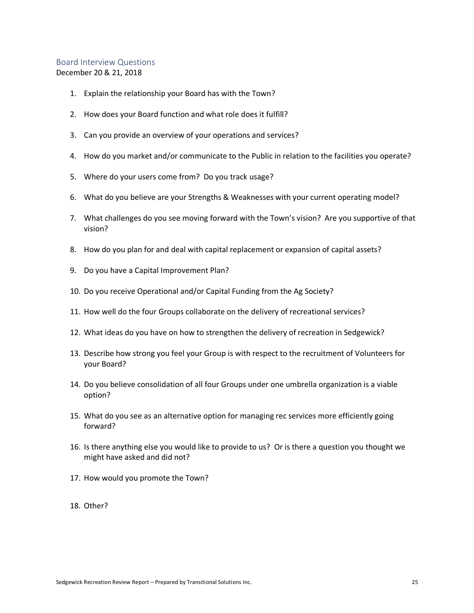#### Board Interview Questions December 20 & 21, 2018

- 1. Explain the relationship your Board has with the Town?
- 2. How does your Board function and what role does it fulfill?
- 3. Can you provide an overview of your operations and services?
- 4. How do you market and/or communicate to the Public in relation to the facilities you operate?
- 5. Where do your users come from? Do you track usage?
- 6. What do you believe are your Strengths & Weaknesses with your current operating model?
- 7. What challenges do you see moving forward with the Town's vision? Are you supportive of that vision?
- 8. How do you plan for and deal with capital replacement or expansion of capital assets?
- 9. Do you have a Capital Improvement Plan?
- 10. Do you receive Operational and/or Capital Funding from the Ag Society?
- 11. How well do the four Groups collaborate on the delivery of recreational services?
- 12. What ideas do you have on how to strengthen the delivery of recreation in Sedgewick?
- 13. Describe how strong you feel your Group is with respect to the recruitment of Volunteers for your Board?
- 14. Do you believe consolidation of all four Groups under one umbrella organization is a viable option?
- 15. What do you see as an alternative option for managing rec services more efficiently going forward?
- 16. Is there anything else you would like to provide to us? Or is there a question you thought we might have asked and did not?
- 17. How would you promote the Town?
- 18. Other?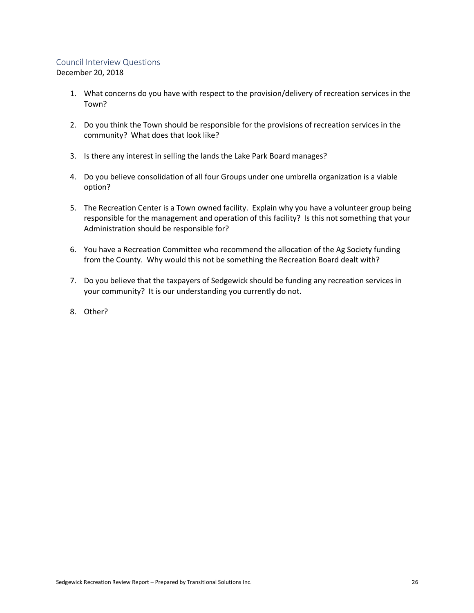#### Council Interview Questions

December 20, 2018

- 1. What concerns do you have with respect to the provision/delivery of recreation services in the Town?
- 2. Do you think the Town should be responsible for the provisions of recreation services in the community? What does that look like?
- 3. Is there any interest in selling the lands the Lake Park Board manages?
- 4. Do you believe consolidation of all four Groups under one umbrella organization is a viable option?
- 5. The Recreation Center is a Town owned facility. Explain why you have a volunteer group being responsible for the management and operation of this facility? Is this not something that your Administration should be responsible for?
- 6. You have a Recreation Committee who recommend the allocation of the Ag Society funding from the County. Why would this not be something the Recreation Board dealt with?
- 7. Do you believe that the taxpayers of Sedgewick should be funding any recreation services in your community? It is our understanding you currently do not.
- 8. Other?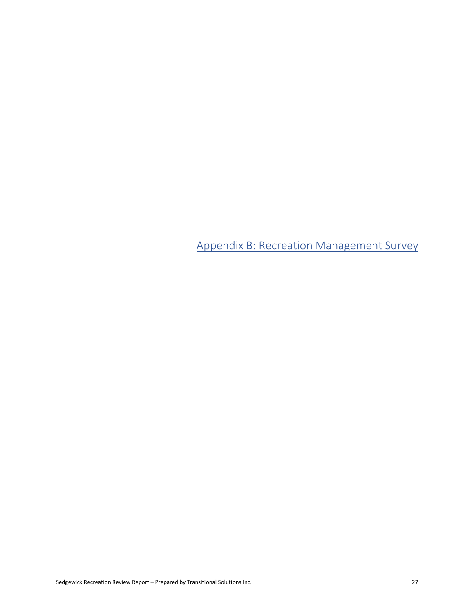Appendix B: Recreation Management Survey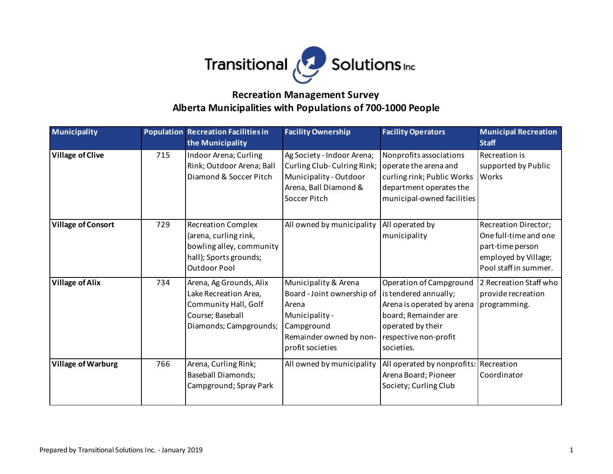

### **Alberta Municipalities with Populations of 700-1000 People Recreation Management Survey**

| <b>Municipality</b>       |     | <b>Population Recreation Facilities in</b><br>the Municipality                                                                  | <b>Facility Ownership</b>                                                                                                                  | <b>Facility Operators</b>                                                                                                                                          | <b>Municipal Recreation</b><br><b>Staff</b>                                                                        |
|---------------------------|-----|---------------------------------------------------------------------------------------------------------------------------------|--------------------------------------------------------------------------------------------------------------------------------------------|--------------------------------------------------------------------------------------------------------------------------------------------------------------------|--------------------------------------------------------------------------------------------------------------------|
| <b>Village of Clive</b>   | 715 | Indoor Arena; Curling<br>Rink; Outdoor Arena; Ball<br>Diamond & Soccer Pitch                                                    | Ag Society - Indoor Arena;<br>Curling Club-Culring Rink;<br>Municipality - Outdoor<br>Arena, Ball Diamond &<br>Soccer Pitch                | Nonprofits associations<br>operate the arena and<br>curling rink; Public Works<br>department operates the<br>municipal-owned facilities                            | Recreation is<br>supported by Public<br>Works                                                                      |
| <b>Village of Consort</b> | 729 | <b>Recreation Complex</b><br>(arena, curling rink,<br>bowling alley, community<br>hall); Sports grounds;<br><b>Outdoor Pool</b> | All owned by municipality                                                                                                                  | All operated by<br>municipality                                                                                                                                    | Recreation Director;<br>One full-time and one<br>part-time person<br>employed by Village;<br>Pool staff in summer. |
| <b>Village of Alix</b>    | 734 | Arena, Ag Grounds, Alix<br>Lake Recreation Area,<br>Community Hall, Golf<br>Course; Baseball<br>Diamonds; Campgrounds;          | Municipality & Arena<br>Board - Joint ownership of<br>Arena<br>Municipality -<br>Campground<br>Remainder owned by non-<br>profit societies | Operation of Campground<br>is tendered annually;<br>Arena is operated by arena<br>board; Remainder are<br>operated by their<br>respective non-profit<br>societies. | 2 Recreation Staff who<br>provide recreation<br>programming.                                                       |
| <b>Village of Warburg</b> | 766 | Arena, Curling Rink;<br><b>Baseball Diamonds;</b><br>Campground; Spray Park                                                     | All owned by municipality                                                                                                                  | All operated by nonprofits: Recreation<br>Arena Board; Pioneer<br>Society; Curling Club                                                                            | Coordinator                                                                                                        |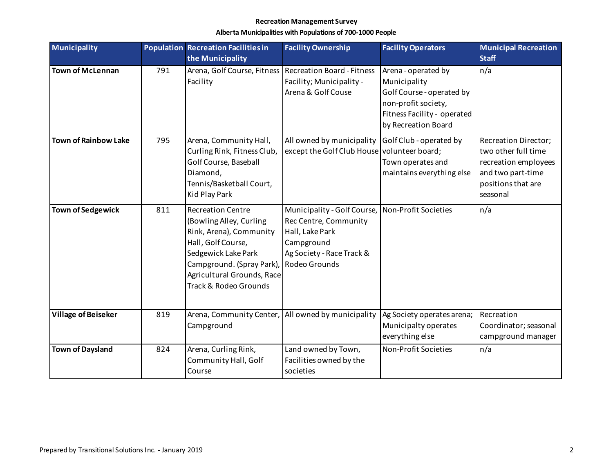| <b>Municipality</b>         |     | <b>Population Recreation Facilities in</b>                                                                                                                                                                      | <b>Facility Ownership</b>                                                                                                           | <b>Facility Operators</b>                                                                                                                     | <b>Municipal Recreation</b>                                                                                                |
|-----------------------------|-----|-----------------------------------------------------------------------------------------------------------------------------------------------------------------------------------------------------------------|-------------------------------------------------------------------------------------------------------------------------------------|-----------------------------------------------------------------------------------------------------------------------------------------------|----------------------------------------------------------------------------------------------------------------------------|
|                             |     | the Municipality                                                                                                                                                                                                |                                                                                                                                     |                                                                                                                                               | <b>Staff</b>                                                                                                               |
| <b>Town of McLennan</b>     | 791 | Arena, Golf Course, Fitness<br>Facility                                                                                                                                                                         | <b>Recreation Board - Fitness</b><br>Facility; Municipality -<br>Arena & Golf Couse                                                 | Arena - operated by<br>Municipality<br>Golf Course - operated by<br>non-profit society,<br>Fitness Facility - operated<br>by Recreation Board | n/a                                                                                                                        |
| <b>Town of Rainbow Lake</b> | 795 | Arena, Community Hall,<br>Curling Rink, Fitness Club,<br>Golf Course, Baseball<br>Diamond,<br>Tennis/Basketball Court,<br>Kid Play Park                                                                         | All owned by municipality<br>except the Golf Club House volunteer board;                                                            | Golf Club - operated by<br>Town operates and<br>maintains everything else                                                                     | Recreation Director;<br>two other full time<br>recreation employees<br>and two part-time<br>positions that are<br>seasonal |
| <b>Town of Sedgewick</b>    | 811 | <b>Recreation Centre</b><br>(Bowling Alley, Curling<br>Rink, Arena), Community<br>Hall, Golf Course,<br>Sedgewick Lake Park<br>Campground. (Spray Park),<br>Agricultural Grounds, Race<br>Track & Rodeo Grounds | Municipality - Golf Course,<br>Rec Centre, Community<br>Hall, Lake Park<br>Campground<br>Ag Society - Race Track &<br>Rodeo Grounds | Non-Profit Societies                                                                                                                          | n/a                                                                                                                        |
| <b>Village of Beiseker</b>  | 819 | Arena, Community Center,   All owned by municipality<br>Campground                                                                                                                                              |                                                                                                                                     | Ag Society operates arena;<br>Municipalty operates<br>everything else                                                                         | Recreation<br>Coordinator; seasonal<br>campground manager                                                                  |
| <b>Town of Daysland</b>     | 824 | Arena, Curling Rink,<br>Community Hall, Golf<br>Course                                                                                                                                                          | Land owned by Town,<br>Facilities owned by the<br>societies                                                                         | Non-Profit Societies                                                                                                                          | n/a                                                                                                                        |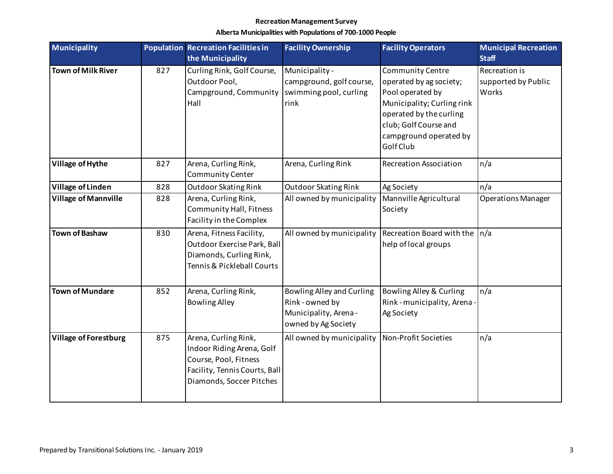| <b>Municipality</b>          |     | <b>Population Recreation Facilities in</b>                                                                                              | <b>Facility Ownership</b>                                                                    | <b>Facility Operators</b>                                                                                                                                                                       | <b>Municipal Recreation</b>                   |
|------------------------------|-----|-----------------------------------------------------------------------------------------------------------------------------------------|----------------------------------------------------------------------------------------------|-------------------------------------------------------------------------------------------------------------------------------------------------------------------------------------------------|-----------------------------------------------|
|                              |     | the Municipality                                                                                                                        |                                                                                              |                                                                                                                                                                                                 | <b>Staff</b>                                  |
| <b>Town of Milk River</b>    | 827 | Curling Rink, Golf Course,<br>Outdoor Pool,<br>Campground, Community<br>Hall                                                            | Municipality -<br>campground, golf course,<br>swimming pool, curling<br>rink                 | <b>Community Centre</b><br>operated by ag society;<br>Pool operated by<br>Municipality; Curling rink<br>operated by the curling<br>club; Golf Course and<br>campground operated by<br>Golf Club | Recreation is<br>supported by Public<br>Works |
| Village of Hythe             | 827 | Arena, Curling Rink,<br>Community Center                                                                                                | Arena, Curling Rink                                                                          | <b>Recreation Association</b>                                                                                                                                                                   | n/a                                           |
| <b>Village of Linden</b>     | 828 | Outdoor Skating Rink                                                                                                                    | Outdoor Skating Rink                                                                         | Ag Society                                                                                                                                                                                      | n/a                                           |
| <b>Village of Mannville</b>  | 828 | Arena, Curling Rink,<br><b>Community Hall, Fitness</b><br>Facility in the Complex                                                       | All owned by municipality                                                                    | Mannville Agricultural<br>Society                                                                                                                                                               | <b>Operations Manager</b>                     |
| <b>Town of Bashaw</b>        | 830 | Arena, Fitness Facility,<br>Outdoor Exercise Park, Ball<br>Diamonds, Curling Rink,<br>Tennis & Pickleball Courts                        | All owned by municipality                                                                    | Recreation Board with the<br>help of local groups                                                                                                                                               | n/a                                           |
| <b>Town of Mundare</b>       | 852 | Arena, Curling Rink,<br><b>Bowling Alley</b>                                                                                            | Bowling Alley and Curling<br>Rink - owned by<br>Municipality, Arena -<br>owned by Ag Society | Bowling Alley & Curling<br>Rink - municipality, Arena -<br>Ag Society                                                                                                                           | n/a                                           |
| <b>Village of Forestburg</b> | 875 | Arena, Curling Rink,<br>Indoor Riding Arena, Golf<br>Course, Pool, Fitness<br>Facility, Tennis Courts, Ball<br>Diamonds, Soccer Pitches | All owned by municipality                                                                    | Non-Profit Societies                                                                                                                                                                            | n/a                                           |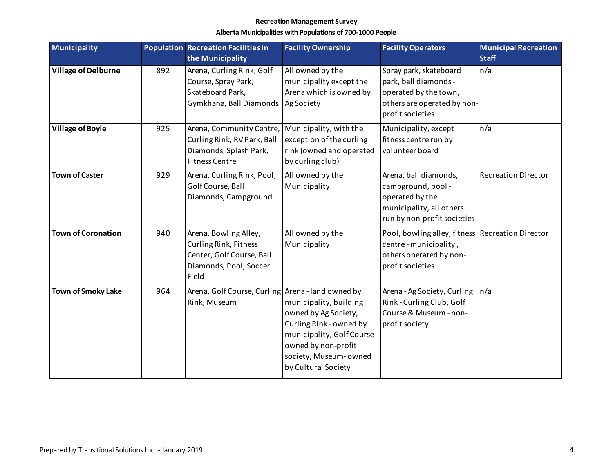| <b>Municipality</b>        |     | <b>Population Recreation Facilities in</b><br>the Municipality                                                 | <b>Facility Ownership</b>                                                                                                                                                      | <b>Facility Operators</b>                                                                                                   | <b>Municipal Recreation</b><br><b>Staff</b> |
|----------------------------|-----|----------------------------------------------------------------------------------------------------------------|--------------------------------------------------------------------------------------------------------------------------------------------------------------------------------|-----------------------------------------------------------------------------------------------------------------------------|---------------------------------------------|
| <b>Village of Delburne</b> | 892 | Arena, Curling Rink, Golf<br>Course, Spray Park,<br>Skateboard Park,<br>Gymkhana, Ball Diamonds                | All owned by the<br>municipality except the<br>Arena which is owned by<br>Ag Society                                                                                           | Spray park, skateboard<br>park, ball diamonds -<br>operated by the town,<br>others are operated by non-<br>profit societies | n/a                                         |
| <b>Village of Boyle</b>    | 925 | Arena, Community Centre,<br>Curling Rink, RV Park, Ball<br>Diamonds, Splash Park,<br><b>Fitness Centre</b>     | Municipality, with the<br>exception of the curling<br>rink (owned and operated<br>by curling club)                                                                             | Municipality, except<br>fitness centre run by<br>volunteer board                                                            | n/a                                         |
| <b>Town of Caster</b>      | 929 | Arena, Curling Rink, Pool,<br>Golf Course, Ball<br>Diamonds, Campground                                        | All owned by the<br>Municipality                                                                                                                                               | Arena, ball diamonds,<br>campground, pool -<br>operated by the<br>municipality, all others<br>run by non-profit societies   | <b>Recreation Director</b>                  |
| <b>Town of Coronation</b>  | 940 | Arena, Bowling Alley,<br>Curling Rink, Fitness<br>Center, Golf Course, Ball<br>Diamonds, Pool, Soccer<br>Field | All owned by the<br>Municipality                                                                                                                                               | Pool, bowling alley, fitness   Recreation Director<br>centre-municipality,<br>others operated by non-<br>profit societies   |                                             |
| <b>Town of Smoky Lake</b>  | 964 | Arena, Golf Course, Curling Arena - land owned by<br>Rink, Museum                                              | municipality, building<br>owned by Ag Society,<br>Curling Rink - owned by<br>municipality, Golf Course-<br>owned by non-profit<br>society, Museum-owned<br>by Cultural Society | Arena - Ag Society, Curling<br>Rink - Curling Club, Golf<br>Course & Museum - non-<br>profit society                        | $\ln/a$                                     |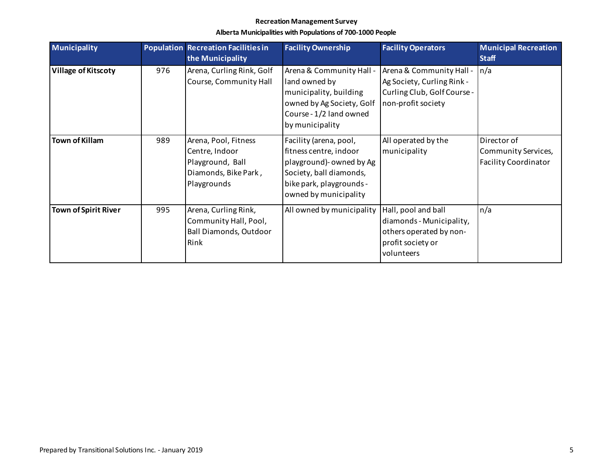| <b>Municipality</b>         |     | <b>Population Recreation Facilities in</b> | <b>Facility Ownership</b> | <b>Facility Operators</b>   | <b>Municipal Recreation</b> |
|-----------------------------|-----|--------------------------------------------|---------------------------|-----------------------------|-----------------------------|
|                             |     | the Municipality                           |                           |                             | <b>Staff</b>                |
| <b>Village of Kitscoty</b>  | 976 | Arena, Curling Rink, Golf                  | Arena & Community Hall -  | Arena & Community Hall -    | n/a                         |
|                             |     | Course, Community Hall                     | land owned by             | Ag Society, Curling Rink -  |                             |
|                             |     |                                            | municipality, building    | Curling Club, Golf Course - |                             |
|                             |     |                                            | owned by Ag Society, Golf | non-profit society          |                             |
|                             |     |                                            | Course - 1/2 land owned   |                             |                             |
|                             |     |                                            | by municipality           |                             |                             |
| <b>Town of Killam</b>       | 989 | Arena, Pool, Fitness                       | Facility (arena, pool,    | All operated by the         | Director of                 |
|                             |     | Centre, Indoor                             | fitness centre, indoor    | municipality                | Community Services,         |
|                             |     | Playground, Ball                           | playground)- owned by Ag  |                             | <b>Facility Coordinator</b> |
|                             |     | Diamonds, Bike Park,                       | Society, ball diamonds,   |                             |                             |
|                             |     | Playgrounds                                | bike park, playgrounds -  |                             |                             |
|                             |     |                                            | owned by municipality     |                             |                             |
| <b>Town of Spirit River</b> | 995 | Arena, Curling Rink,                       | All owned by municipality | Hall, pool and ball         | n/a                         |
|                             |     | Community Hall, Pool,                      |                           | diamonds - Municipality,    |                             |
|                             |     | <b>Ball Diamonds, Outdoor</b>              |                           | others operated by non-     |                             |
|                             |     | Rink                                       |                           | profit society or           |                             |
|                             |     |                                            |                           | volunteers                  |                             |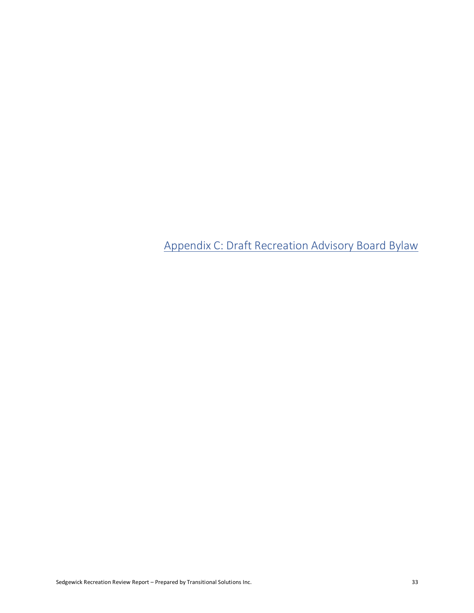Appendix C: Draft Recreation Advisory Board Bylaw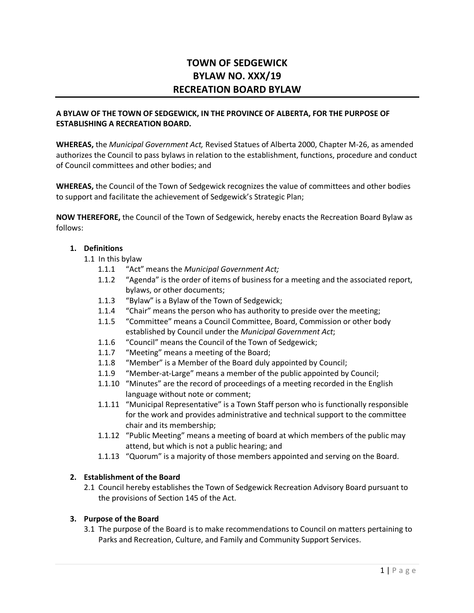## **TOWN OF SEDGEWICK BYLAW NO. XXX/19 RECREATION BOARD BYLAW**

#### **A BYLAW OF THE TOWN OF SEDGEWICK, IN THE PROVINCE OF ALBERTA, FOR THE PURPOSE OF ESTABLISHING A RECREATION BOARD.**

**WHEREAS,** the *Municipal Government Act,* Revised Statues of Alberta 2000, Chapter M-26, as amended authorizes the Council to pass bylaws in relation to the establishment, functions, procedure and conduct of Council committees and other bodies; and

**WHEREAS,** the Council of the Town of Sedgewick recognizes the value of committees and other bodies to support and facilitate the achievement of Sedgewick's Strategic Plan;

**NOW THEREFORE,** the Council of the Town of Sedgewick, hereby enacts the Recreation Board Bylaw as follows:

#### **1. Definitions**

- 1.1 In this bylaw
	- 1.1.1 "Act" means the *Municipal Government Act;*
	- 1.1.2 "Agenda" is the order of items of business for a meeting and the associated report, bylaws, or other documents;
	- 1.1.3 "Bylaw" is a Bylaw of the Town of Sedgewick;
	- 1.1.4 "Chair" means the person who has authority to preside over the meeting;
	- 1.1.5 "Committee" means a Council Committee, Board, Commission or other body established by Council under the *Municipal Government Act*;
	- 1.1.6 "Council" means the Council of the Town of Sedgewick;
	- 1.1.7 "Meeting" means a meeting of the Board;
	- 1.1.8 "Member" is a Member of the Board duly appointed by Council;
	- 1.1.9 "Member-at-Large" means a member of the public appointed by Council;
	- 1.1.10 "Minutes" are the record of proceedings of a meeting recorded in the English language without note or comment;
	- 1.1.11 "Municipal Representative" is a Town Staff person who is functionally responsible for the work and provides administrative and technical support to the committee chair and its membership;
	- 1.1.12 "Public Meeting" means a meeting of board at which members of the public may attend, but which is not a public hearing; and
	- 1.1.13 "Quorum" is a majority of those members appointed and serving on the Board.

#### **2. Establishment of the Board**

2.1 Council hereby establishes the Town of Sedgewick Recreation Advisory Board pursuant to the provisions of Section 145 of the Act.

#### **3. Purpose of the Board**

3.1 The purpose of the Board is to make recommendations to Council on matters pertaining to Parks and Recreation, Culture, and Family and Community Support Services.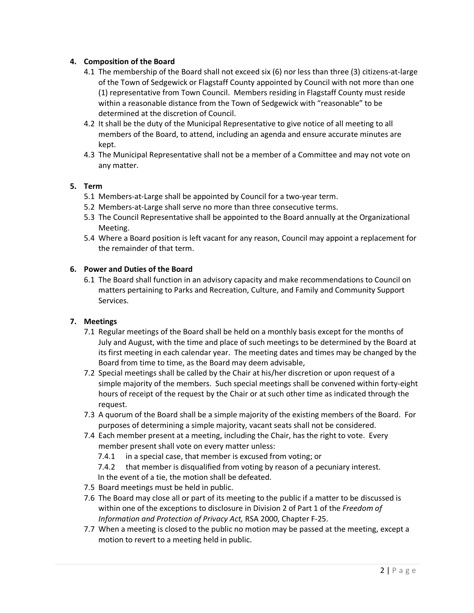#### **4. Composition of the Board**

- 4.1 The membership of the Board shall not exceed six (6) nor less than three (3) citizens-at-large of the Town of Sedgewick or Flagstaff County appointed by Council with not more than one (1) representative from Town Council. Members residing in Flagstaff County must reside within a reasonable distance from the Town of Sedgewick with "reasonable" to be determined at the discretion of Council.
- 4.2 It shall be the duty of the Municipal Representative to give notice of all meeting to all members of the Board, to attend, including an agenda and ensure accurate minutes are kept.
- 4.3 The Municipal Representative shall not be a member of a Committee and may not vote on any matter.

#### **5. Term**

- 5.1 Members-at-Large shall be appointed by Council for a two-year term.
- 5.2 Members-at-Large shall serve no more than three consecutive terms.
- 5.3 The Council Representative shall be appointed to the Board annually at the Organizational Meeting.
- 5.4 Where a Board position is left vacant for any reason, Council may appoint a replacement for the remainder of that term.

#### **6. Power and Duties of the Board**

6.1 The Board shall function in an advisory capacity and make recommendations to Council on matters pertaining to Parks and Recreation, Culture, and Family and Community Support Services.

#### **7. Meetings**

- 7.1 Regular meetings of the Board shall be held on a monthly basis except for the months of July and August, with the time and place of such meetings to be determined by the Board at its first meeting in each calendar year. The meeting dates and times may be changed by the Board from time to time, as the Board may deem advisable,
- 7.2 Special meetings shall be called by the Chair at his/her discretion or upon request of a simple majority of the members. Such special meetings shall be convened within forty-eight hours of receipt of the request by the Chair or at such other time as indicated through the request.
- 7.3 A quorum of the Board shall be a simple majority of the existing members of the Board. For purposes of determining a simple majority, vacant seats shall not be considered.
- 7.4 Each member present at a meeting, including the Chair, has the right to vote. Every member present shall vote on every matter unless:
	- 7.4.1 in a special case, that member is excused from voting; or

7.4.2 that member is disqualified from voting by reason of a pecuniary interest. In the event of a tie, the motion shall be defeated.

- 7.5 Board meetings must be held in public.
- 7.6 The Board may close all or part of its meeting to the public if a matter to be discussed is within one of the exceptions to disclosure in Division 2 of Part 1 of the *Freedom of Information and Protection of Privacy Act,* RSA 2000, Chapter F-25.
- 7.7 When a meeting is closed to the public no motion may be passed at the meeting, except a motion to revert to a meeting held in public.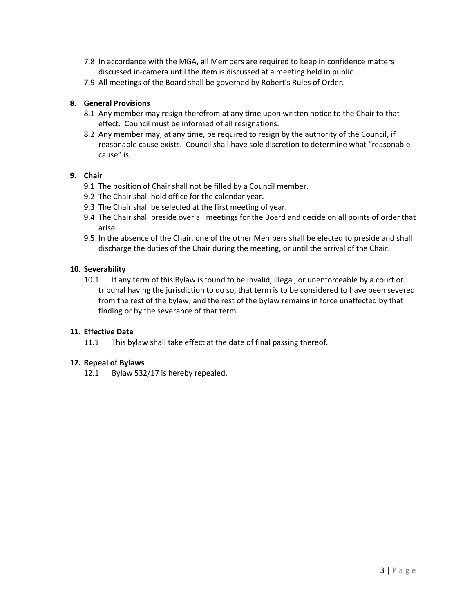- 7.8 In accordance with the MGA, all Members are required to keep in confidence matters discussed in-camera until the item is discussed at a meeting held in public.
- 7.9 All meetings of the Board shall be governed by Robert's Rules of Order.

#### **8. General Provisions**

- 8.1 Any member may resign therefrom at any time upon written notice to the Chair to that effect. Council must be informed of all resignations.
- 8.2 Any member may, at any time, be required to resign by the authority of the Council, if reasonable cause exists. Council shall have sole discretion to determine what "reasonable cause" is.

#### **9. Chair**

- 9.1 The position of Chair shall not be filled by a Council member.
- 9.2 The Chair shall hold office for the calendar year.
- 9.3 The Chair shall be selected at the first meeting of year.
- 9.4 The Chair shall preside over all meetings for the Board and decide on all points of order that arise.
- 9.5 In the absence of the Chair, one of the other Members shall be elected to preside and shall discharge the duties of the Chair during the meeting, or until the arrival of the Chair.

#### **10. Severability**

10.1 If any term of this Bylaw is found to be invalid, illegal, or unenforceable by a court or tribunal having the jurisdiction to do so, that term is to be considered to have been severed from the rest of the bylaw, and the rest of the bylaw remains in force unaffected by that finding or by the severance of that term.

#### **11. Effective Date**

11.1 This bylaw shall take effect at the date of final passing thereof.

#### **12. Repeal of Bylaws**

12.1 Bylaw 532/17 is hereby repealed.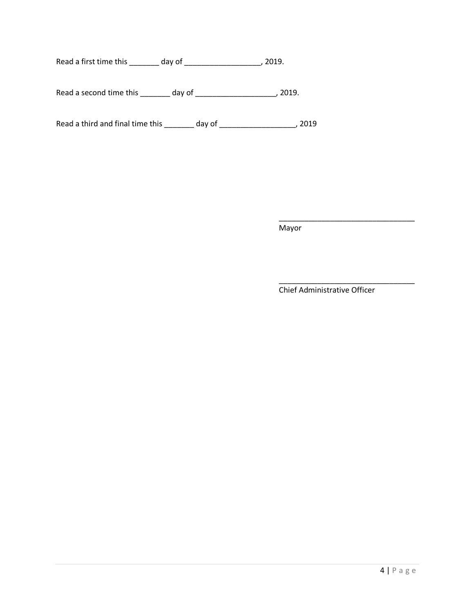Read a first time this \_\_\_\_\_\_\_\_ day of \_\_\_\_\_\_\_\_\_\_\_\_\_\_\_\_\_\_\_\_\_\_, 2019.

Read a second time this \_\_\_\_\_\_\_\_ day of \_\_\_\_\_\_\_\_\_\_\_\_\_\_\_\_\_\_\_\_\_\_\_\_, 2019.

Read a third and final time this \_\_\_\_\_\_\_\_ day of \_\_\_\_\_\_\_\_\_\_\_\_\_\_\_\_\_\_\_\_\_, 2019

Mayor

Chief Administrative Officer

\_\_\_\_\_\_\_\_\_\_\_\_\_\_\_\_\_\_\_\_\_\_\_\_\_\_\_\_\_\_\_\_

\_\_\_\_\_\_\_\_\_\_\_\_\_\_\_\_\_\_\_\_\_\_\_\_\_\_\_\_\_\_\_\_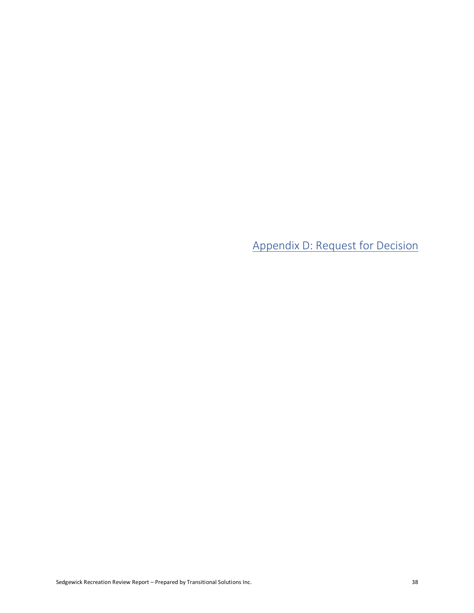Appendix D: Request for Decision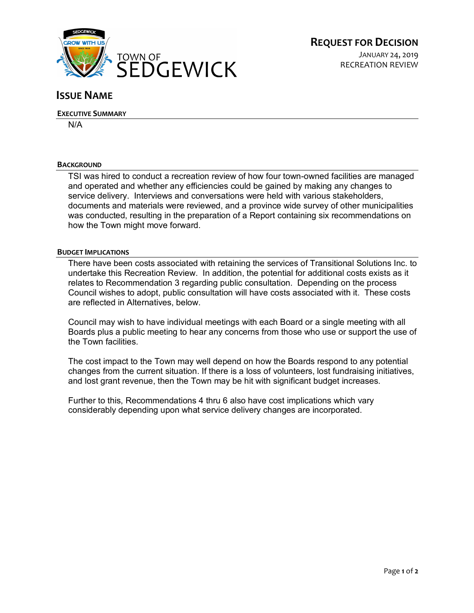

#### **ISSUE NAME**

#### **EXECUTIVE SUMMARY**

N/A

#### **BACKGROUND**

TSI was hired to conduct a recreation review of how four town-owned facilities are managed and operated and whether any efficiencies could be gained by making any changes to service delivery. Interviews and conversations were held with various stakeholders, documents and materials were reviewed, and a province wide survey of other municipalities was conducted, resulting in the preparation of a Report containing six recommendations on how the Town might move forward.

#### **BUDGET IMPLICATIONS**

There have been costs associated with retaining the services of Transitional Solutions Inc. to undertake this Recreation Review. In addition, the potential for additional costs exists as it relates to Recommendation 3 regarding public consultation. Depending on the process Council wishes to adopt, public consultation will have costs associated with it. These costs are reflected in Alternatives, below.

Council may wish to have individual meetings with each Board or a single meeting with all Boards plus a public meeting to hear any concerns from those who use or support the use of the Town facilities.

The cost impact to the Town may well depend on how the Boards respond to any potential changes from the current situation. If there is a loss of volunteers, lost fundraising initiatives, and lost grant revenue, then the Town may be hit with significant budget increases.

Further to this, Recommendations 4 thru 6 also have cost implications which vary considerably depending upon what service delivery changes are incorporated.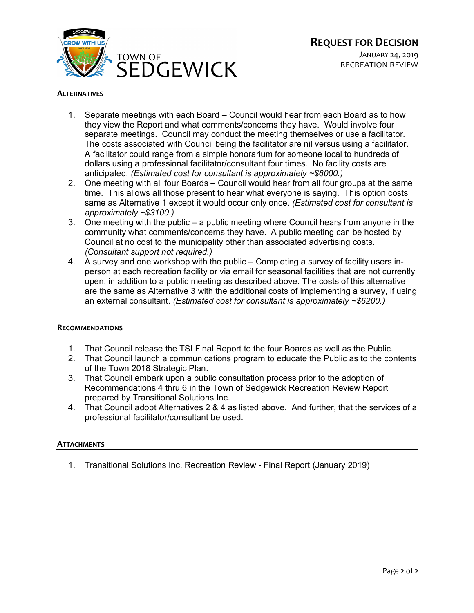

JANUARY 24, 2019 RECREATION REVIEW

#### **ALTERNATIVES**

- 1. Separate meetings with each Board Council would hear from each Board as to how they view the Report and what comments/concerns they have. Would involve four separate meetings. Council may conduct the meeting themselves or use a facilitator. The costs associated with Council being the facilitator are nil versus using a facilitator. A facilitator could range from a simple honorarium for someone local to hundreds of dollars using a professional facilitator/consultant four times. No facility costs are anticipated. *(Estimated cost for consultant is approximately ~\$6000.)*
- 2. One meeting with all four Boards Council would hear from all four groups at the same time. This allows all those present to hear what everyone is saying. This option costs same as Alternative 1 except it would occur only once. *(Estimated cost for consultant is approximately ~\$3100.)*
- 3. One meeting with the public a public meeting where Council hears from anyone in the community what comments/concerns they have. A public meeting can be hosted by Council at no cost to the municipality other than associated advertising costs. *(Consultant support not required.)*
- 4. A survey and one workshop with the public Completing a survey of facility users inperson at each recreation facility or via email for seasonal facilities that are not currently open, in addition to a public meeting as described above. The costs of this alternative are the same as Alternative 3 with the additional costs of implementing a survey, if using an external consultant. *(Estimated cost for consultant is approximately ~\$6200.)*

#### **RECOMMENDATIONS**

- 1. That Council release the TSI Final Report to the four Boards as well as the Public.
- 2. That Council launch a communications program to educate the Public as to the contents of the Town 2018 Strategic Plan.
- 3. That Council embark upon a public consultation process prior to the adoption of Recommendations 4 thru 6 in the Town of Sedgewick Recreation Review Report prepared by Transitional Solutions Inc.
- 4. That Council adopt Alternatives 2 & 4 as listed above. And further, that the services of a professional facilitator/consultant be used.

#### **ATTACHMENTS**

1. Transitional Solutions Inc. Recreation Review - Final Report (January 2019)